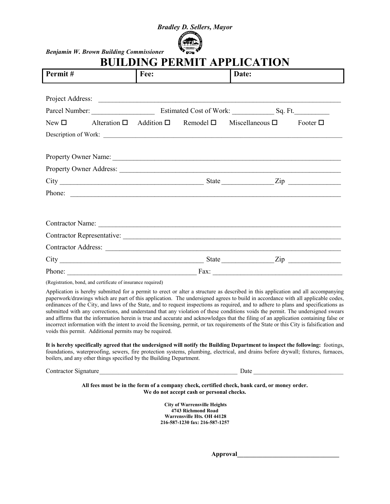## *Bradley D. Sellers, Mayor*



*Benjamin W. Brown Building Commissioner* 

## **BUILDING PERMIT APPLICATION**

| Permit#   |                  | Fee: |                                                  | Date:                                                          |               |
|-----------|------------------|------|--------------------------------------------------|----------------------------------------------------------------|---------------|
|           |                  |      |                                                  |                                                                |               |
|           | Project Address: |      |                                                  |                                                                |               |
|           |                  |      |                                                  |                                                                |               |
| $New\Box$ |                  |      | Alteration $\Box$ Addition $\Box$ Remodel $\Box$ | Miscellaneous $\square$                                        | Footer $\Box$ |
|           |                  |      |                                                  | Description of Work:                                           |               |
|           |                  |      |                                                  |                                                                |               |
|           |                  |      |                                                  |                                                                |               |
|           |                  |      |                                                  |                                                                |               |
|           |                  |      |                                                  | State $\frac{Zip}{\cdots}$ $\cdots$ $\cdots$ $\cdots$ $\cdots$ |               |
|           |                  |      |                                                  | Phone:                                                         |               |
|           |                  |      |                                                  |                                                                |               |
|           |                  |      |                                                  | Contractor Name:                                               |               |
|           |                  |      |                                                  |                                                                |               |
|           |                  |      |                                                  |                                                                |               |
|           |                  |      |                                                  | State $\frac{Zip}{\cdots}$ $\cdots$ $\cdots$ $\cdots$ $\cdots$ |               |
| Phone:    |                  |      | Fax:                                             |                                                                |               |

(Registration, bond, and certificate of insurance required)

Application is hereby submitted for a permit to erect or alter a structure as described in this application and all accompanying paperwork/drawings which are part of this application. The undersigned agrees to build in accordance with all applicable codes, ordinances of the City, and laws of the State, and to request inspections as required, and to adhere to plans and specifications as submitted with any corrections, and understand that any violation of these conditions voids the permit. The undersigned swears and affirms that the information herein is true and accurate and acknowledges that the filing of an application containing false or incorrect information with the intent to avoid the licensing, permit, or tax requirements of the State or this City is falsification and voids this permit. Additional permits may be required.

**It is hereby specifically agreed that the undersigned will notify the Building Department to inspect the following:** footings, foundations, waterproofing, sewers, fire protection systems, plumbing, electrical, and drains before drywall; fixtures, furnaces, boilers, and any other things specified by the Building Department.

 $\text{Date}$ 

**All fees must be in the form of a company check, certified check, bank card, or money order. We do not accept cash or personal checks.**

> **City of Warrensville Heights 4743 Richmond Road Warrensville Hts. OH 44128 216-587-1230 fax: 216-587-1257**

> > **Approval\_\_\_\_\_\_\_\_\_\_\_\_\_\_\_\_\_\_\_\_\_\_\_\_\_\_\_\_\_\_\_\_**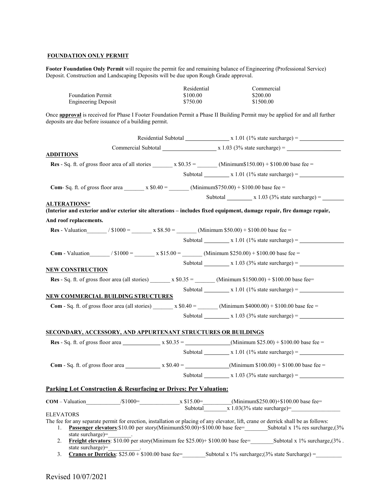#### **FOUNDATION ONLY PERMIT**

**Footer Foundation Only Permit** will require the permit fee and remaining balance of Engineering (Professional Service) Deposit. Construction and Landscaping Deposits will be due upon Rough Grade approval.

| <b>Foundation Permit</b>                                                           | Residential<br>\$100.00 | Commercial<br>\$200.00                                                                                                              |  |
|------------------------------------------------------------------------------------|-------------------------|-------------------------------------------------------------------------------------------------------------------------------------|--|
| <b>Engineering Deposit</b>                                                         | \$750.00                | \$1500.00                                                                                                                           |  |
| deposits are due before issuance of a building permit.                             |                         | Once <b>approval</b> is received for Phase I Footer Foundation Permit a Phase II Building Permit may be applied for and all further |  |
|                                                                                    |                         | Residential Subtotal $x 1.01 (1\% state surface) =$                                                                                 |  |
|                                                                                    |                         |                                                                                                                                     |  |
| <b>ADDITIONS</b>                                                                   |                         |                                                                                                                                     |  |
|                                                                                    |                         | Res - Sq. ft. of gross floor area of all stories $x$ \$0.35 = $(Minimum$150.00) + $100.00$ base fee =                               |  |
|                                                                                    |                         | Subtotal $\frac{\ }{}$ x 1.01 (1% state surcharge) =                                                                                |  |
|                                                                                    |                         |                                                                                                                                     |  |
|                                                                                    |                         | Subtotal $\frac{\text{N}}{\text{N}}$ x 1.03 (3% state surcharge) =                                                                  |  |
| <b>ALTERATIONS*</b>                                                                |                         | (Interior and exterior and/or exterior site alterations – includes fixed equipment, damage repair, fire damage repair,              |  |
| And roof replacements.                                                             |                         |                                                                                                                                     |  |
|                                                                                    |                         | <b>Res</b> - Valuation $\sqrt{$1000} = x $8.50 =$ (Minimum \$50.00) + \$100.00 base fee =                                           |  |
|                                                                                    |                         | Subtotal $\qquad x 1.01 (1\% state surface) =$                                                                                      |  |
|                                                                                    |                         | <b>Com</b> - Valuation $/ $1000 = x $15.00 =$ $(Minimum $250.00) + $100.00$ base fee                                                |  |
|                                                                                    |                         | Subtotal $x 1.03$ (3% state surcharge) =                                                                                            |  |
| <b>NEW CONSTRUCTION</b>                                                            |                         |                                                                                                                                     |  |
|                                                                                    |                         | <b>Res</b> - Sq. ft. of gross floor area (all stories) $x \text{ $60.35 =}$ (Minimum \$1500.00) + \$100.00 base fee=                |  |
| <b>NEW COMMERCIAL BUILDING STRUCTURES</b>                                          |                         | Subtotal $\frac{\ }{}$ x 1.01 (1% state surcharge) =                                                                                |  |
|                                                                                    |                         | <b>Com</b> - Sq. ft. of gross floor area (all stories) $x \text{ $6.40 =}$ (Minimum \$4000.00) + \$100.00 base fee =                |  |
|                                                                                    |                         | Subtotal $\frac{\ }{}$ x 1.03 (3% state surcharge) = $\frac{\ }{}$                                                                  |  |
|                                                                                    |                         |                                                                                                                                     |  |
| <u>SECONDARY, ACCESSORY, AND APPURTENANT STRUCTURES OR BUILDINGS</u>               |                         |                                                                                                                                     |  |
|                                                                                    |                         |                                                                                                                                     |  |
|                                                                                    |                         | Subtotal $x 1.01$ (1% state surcharge) =                                                                                            |  |
|                                                                                    |                         |                                                                                                                                     |  |
|                                                                                    | Subtotal                | $x 1.03$ (3% state surcharge) =                                                                                                     |  |
|                                                                                    |                         |                                                                                                                                     |  |
| Parking Lot Construction & Resurfacing or Drives: Per Valuation:                   |                         |                                                                                                                                     |  |
| <b>COM</b> – Valuation $\frac{\sqrt{$1000} - \text{x $15.00} - \text{y}_{100}}{2}$ |                         | (Minimum\$250.00)+\$100.00 base fee=<br>Subtotal $\overline{x}$ 1.03(3% state surcharge)=                                           |  |
| <b>ELEVATORS</b>                                                                   |                         |                                                                                                                                     |  |
| 1.                                                                                 |                         | The fee for any separate permit for erection, installation or placing of any elevator, lift, crane or derrick shall be as follows:  |  |
| state surcharge)=<br>2.                                                            |                         | <b>Freight elevators:</b> \$10.00 per story(Minimum fee \$25.00)+ \$100.00 base fee= Subtotal x 1% surcharge, $(3\%$ .              |  |
| state surcharge)=<br>3.                                                            |                         | <b>Cranes or Derricks:</b> $$25.00 + $100.00$ base fee=<br>Subtotal x 1% surcharge; (3% state Surcharge) =                          |  |
|                                                                                    |                         |                                                                                                                                     |  |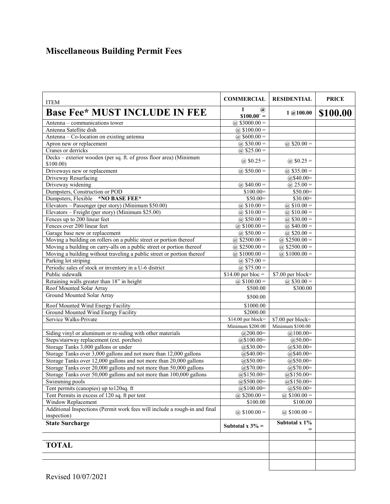# **Miscellaneous Building Permit Fees**

| <b>ITEM</b>                                                                               | <b>COMMERCIAL</b>             | <b>RESIDENTIAL</b>       | <b>PRICE</b> |
|-------------------------------------------------------------------------------------------|-------------------------------|--------------------------|--------------|
| <b>Base Fee* MUST INCLUDE IN FEE</b>                                                      | 1<br>$\omega$<br>$$100.00` =$ | $1$ (a) $100.00$         | \$100.00     |
| Antenna – communications tower                                                            | @ $$3000.00 =$                |                          |              |
| Antenna Satellite dish                                                                    | @ $$100.00 =$                 |                          |              |
| Antenna - Co-location on existing antenna                                                 | (a) $$600.00 =$               |                          |              |
| Apron new or replacement                                                                  | @ $$30.00 =$                  | @ $$20.00 =$             |              |
| Cranes or derricks                                                                        | @ $$25.00 =$                  |                          |              |
| Decks - exterior wooden (per sq. ft. of gross floor area) (Minimum<br>\$100.00)           | (a) $$0.25 =$                 | @ $$0.25 =$              |              |
| Driveways new or replacement                                                              | @ $$50.00 =$                  | (a) $$35.00 =$           |              |
| Driveway Resurfacing                                                                      |                               | $@$40.00=$               |              |
| Driveway widening                                                                         | @ $$40.00 =$                  | @ $25.00 =$              |              |
| Dumpsters, Construction or POD                                                            | $$100.00=$                    | $$50.00=$                |              |
| Dumpsters, Flexible *NO BASE FEE*                                                         | $$50.00=$                     | $$30.00=$                |              |
| Elevators - Passenger (per story) (Minimum \$50.00)                                       | @ $$10.00 =$                  | @ $$10.00 =$             |              |
| Elevators - Freight (per story) (Minimum \$25.00)                                         | @ $$10.00 =$                  | @ $$10.00 =$             |              |
| Fences up to 200 linear feet                                                              | @ $$50.00 =$                  | @ $$30.00 =$             |              |
| Fences over 200 linear feet                                                               | @ $$100.00 =$                 | @ $$40.00 =$             |              |
| Garage base new or replacement                                                            | @ $$50.00 =$                  | $\overline{a}$ \$20.00 = |              |
| Moving a building on rollers on a public street or portion thereof                        | @ $$2500.00 =$                | @ $$2500.00 =$           |              |
| Moving a building on carry-alls on a public street or portion thereof                     | (a) $$2500.00 =$              | @ $$2500.00 =$           |              |
| Moving a building without traveling a public street or portion thereof                    | @ \$1000.00 =                 | @ $$1000.00 =$           |              |
| Parking lot striping                                                                      | @ $$75.00 =$                  |                          |              |
| Periodic sales of stock or inventory in a U-6 district                                    | @ $$75.00 =$                  |                          |              |
| Public sidewalk                                                                           | $$14.00$ per bloc =           | \$7.00 per block=        |              |
| Retaining walls greater than 18" in height                                                | (a) $$100.00 =$               | @ $$30.00 =$             |              |
| Roof Mounted Solar Array                                                                  | \$500.00                      | \$300.00                 |              |
| Ground Mounted Solar Array                                                                | \$500.00                      |                          |              |
| Roof Mounted Wind Energy Facility                                                         | \$1000.00                     |                          |              |
| Ground Mounted Wind Energy Facility                                                       | \$2000.00                     |                          |              |
| Service Walks-Private                                                                     | $$14.00$ per block=           | \$7.00 per block=        |              |
|                                                                                           | Minimum \$200.00              | Minimum \$100.00         |              |
| Siding vinyl or aluminum or re-siding with other materials                                | $@200.00=$                    | $@100.00=$               |              |
| Steps/stairway replacement (ext. porches)                                                 | $@$100.00=$                   | $@50.00=$                |              |
| Storage Tanks 3,000 gallons or under                                                      | $@$30.00=$                    | $@$30.00=$               |              |
| Storage Tanks over 3,000 gallons and not more than 12,000 gallons                         | $@$40.00=$                    | $@$40.00=$               |              |
| Storage Tanks over 12,000 gallons and not more than 20,000 gallons                        | $@$50.00=$                    | $@550.00=$               |              |
| Storage Tanks over 20,000 gallons and not more than 50,000 gallons                        | $@$70.00=$                    | $@$70.00=$               |              |
| Storage Tanks over 50,000 gallons and not more than 100,000 gallons                       | $@$150.00=$                   | $@$150.00=$              |              |
| Swimming pools                                                                            | $@$500.00=$                   | $@$150.00=$              |              |
| Tent permits (canopies) up to 120sq. ft                                                   | $@$100.00=$                   | $@$50.00=$               |              |
| Tent Permits in excess of 120 sq. ft per tent                                             | @ $$200.00 =$                 | (a) $$100.00 =$          |              |
| Window Replacement                                                                        | \$100.00                      | \$100.00                 |              |
| Additional Inspections (Permit work fees will include a rough-in and final<br>inspection) | @ $$100.00 =$                 | @ $$100.00 =$            |              |
| <b>State Surcharge</b>                                                                    | Subtotal x 1%                 |                          |              |
|                                                                                           |                               |                          |              |
| <b>TOTAL</b>                                                                              |                               |                          |              |
|                                                                                           |                               |                          |              |
|                                                                                           |                               |                          |              |